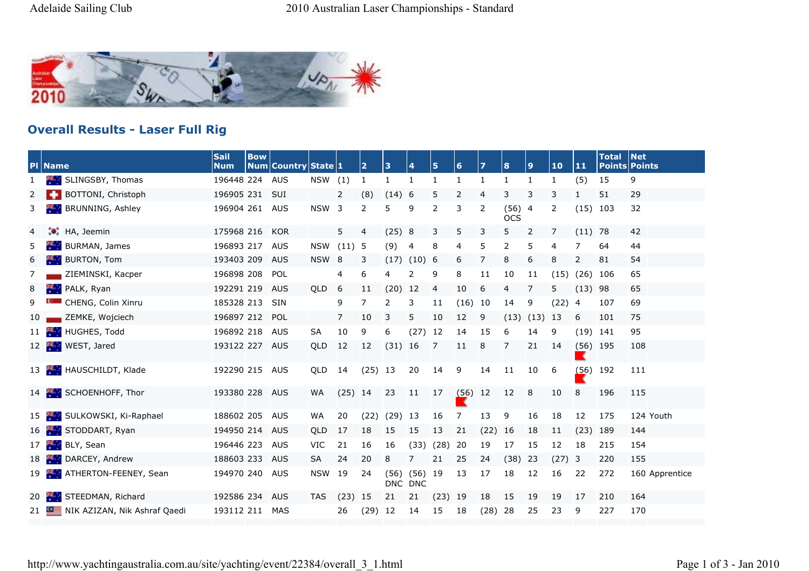

## **Overall Results - Laser Full Rig**

|    | <b>PI</b> Name                            | <b>Sail</b><br><b>Num</b> | <b>Bow</b> | Num Country State 1 |                  |                | $\overline{2}$ | 3                  | $\overline{4}$     | $\overline{\mathbf{5}}$ | 6    | $\overline{z}$ | 8                  | 9    | 10   | 11                      | <b>Total</b> | Net<br><b>Points Points</b> |
|----|-------------------------------------------|---------------------------|------------|---------------------|------------------|----------------|----------------|--------------------|--------------------|-------------------------|------|----------------|--------------------|------|------|-------------------------|--------------|-----------------------------|
| -1 | SLINGSBY, Thomas<br>樂.                    | 196448 224                |            | AUS                 | NSW              | (1)            | 1              | 1                  | $\mathbf{1}$       | $\mathbf{1}$            | 1    | 1              | -1                 | 1    | 1    | (5)                     | 15           | 9                           |
| 2  | BOTTONI, Christoph                        | 196905 231                |            | <b>SUI</b>          |                  | 2              | (8)            | (14)               | 6                  | 5                       | 2    | 4              | 3                  | 3    | 3    | 1                       | 51           | 29                          |
| 3. | BRUNNING, Ashley                          | 196904 261                |            | <b>AUS</b>          | <b>NSW</b>       | 3              | 2              | 5                  | 9                  | 2                       | 3    | 2              | (56)<br><b>OCS</b> | 4    | 2    | (15)                    | 103          | 32                          |
| 4  | $\bullet$ .<br>HA, Jeemin                 | 175968 216                |            | <b>KOR</b>          |                  | 5              | 4              | (25) 8             |                    | 3                       | 5    | 3              | 5                  | 2    | 7    | $(11)$ 78               |              | 42                          |
| 5  | BURMAN, James                             | 196893 217                |            | <b>AUS</b>          | <b>NSW</b>       | (11)           | -5             | (9)                | 4                  | 8                       | 4    | 5              | 2                  | 5    | 4    | 7                       | 64           | 44                          |
| 6  | <b>BURTON, Tom</b>                        | 193403 209                |            | <b>AUS</b>          | NSW <sub>8</sub> |                | 3              | $(17)$ $(10)$ 6    |                    |                         | 6    | 7              | 8                  | 6    | 8    | 2                       | 81           | 54                          |
| 7  | ZIEMINSKI, Kacper                         | 196898 208                |            | POL                 |                  | 4              | 6              | 4                  | 2                  | 9                       | 8    | 11             | 10                 | 11   | (15) | (26)                    | 106          | 65                          |
| 8  | PALK, Ryan<br>整理                          | 192291 219                |            | <b>AUS</b>          | QLD              | 6              | 11             | (20)               | 12                 | 4                       | 10   | 6              | 4                  | 7    | 5    | (13)                    | 98           | 65                          |
| 9  | CHENG, Colin Xinru                        | 185328 213                |            | <b>SIN</b>          |                  | 9              | 7              | 2                  | 3                  | 11                      | (16) | 10             | 14                 | 9    | (22) | -4                      | 107          | 69                          |
| 10 | ZEMKE, Wojciech                           | 196897 212                |            | POL                 |                  | $\overline{7}$ | 10             | 3                  | 5                  | 10                      | 12   | 9              | (13)               | (13) | 13   | 6                       | 101          | 75                          |
| 11 | <b>HUGHES, Todd</b>                       | 196892 218                |            | <b>AUS</b>          | <b>SA</b>        | 10             | 9              | 6                  | (27)               | 12                      | 14   | 15             | 6                  | 14   | 9    | (19)                    | 141          | 95                          |
| 12 | WEST, Jared<br>eter i v                   | 193122 227                |            | <b>AUS</b>          | QLD              | 12             | 12             | (31)               | <b>16</b>          | 7                       | 11   | 8              | 7                  | 21   | 14   | (56)                    | - 195        | 108                         |
|    | 13 HAUSCHILDT, Klade                      | 192290 215                |            | <b>AUS</b>          | QLD              | 14             | (25)           | 13                 | 20                 | 14                      | 9    | 14             | 11                 | 10   | 6    | (56)                    | 192          | 111                         |
|    | 14 SCHOENHOFF, Thor                       | 193380 228                |            | AUS                 | WA               | $(25)$ 14      |                | 23                 | 11                 | 17                      | (56) | 12             | 12                 | 8    | 10   | 8                       | 196          | 115                         |
|    | 15 SULKOWSKI, Ki-Raphael                  | 188602 205                |            | <b>AUS</b>          | WA               | 20             | (22)           | (29)               | 13                 | 16                      | 7    | 13             | 9                  | 16   | 18   | 12                      | 175          | 124 Youth                   |
| 16 | STODDART, Ryan                            | 194950 214                |            | <b>AUS</b>          | QLD              | 17             | 18             | 15                 | 15                 | 13                      | 21   | (22)           | 16                 | 18   | 11   | (23)                    | 189          | 144                         |
| 17 | BLY, Sean                                 | 196446 223                |            | <b>AUS</b>          | VIC              | 21             | 16             | 16                 | (33)               | (28)                    | 20   | 19             | 17                 | 15   | 12   | 18                      | 215          | 154                         |
| 18 | DARCEY, Andrew                            | 188603 233                |            | <b>AUS</b>          | <b>SA</b>        | 24             | 20             | 8                  | 7                  | 21                      | 25   | 24             | (38)               | 23   | (27) | $\overline{\mathbf{3}}$ | 220          | 155                         |
|    | ATHERTON-FEENEY, Sean<br>19               | 194970 240                |            | <b>AUS</b>          | <b>NSW</b>       | 19             | 24             | (56)<br><b>DNC</b> | (56)<br><b>DNC</b> | 19                      | 13   | 17             | 18                 | 12   | 16   | 22                      | 272          | 160 Apprentice              |
| 20 | STEEDMAN, Richard                         | 192586 234                |            | AUS                 | TAS              | (23)           | 15             | 21                 | 21                 | (23)                    | - 19 | 18             | 15                 | 19   | 19   | 17                      | 210          | 164                         |
|    | NIK AZIZAN, Nik Ashraf Qaedi<br>21 $\Box$ | 193112 211                |            | MAS                 |                  | 26             | $(29)$ 12      |                    | 14                 | 15                      | 18   | (28)           | 28                 | 25   | 23   | 9                       | 227          | 170                         |

http://www.yachtingaustralia.com.au/site/yachting/event/22384/overall\_3\_1.html Page 1 of 3 - Jan 2010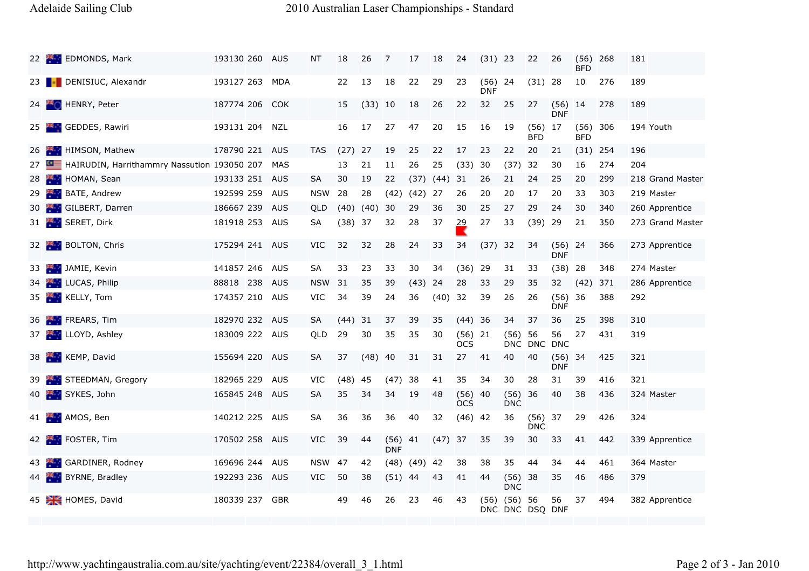## Adelaide Sailing Club 2010 Australian Laser Championships - Standard

|    | 22 EDMONDS, Mark                            | 193130 260     | AUS        | NT            | 18        | 26        | 7                       | 17            | 18        | 24                 | $(31)$ 23          |                         | 22                 | 26                      | (56)<br><b>BFD</b> | 268 | 181 |                  |
|----|---------------------------------------------|----------------|------------|---------------|-----------|-----------|-------------------------|---------------|-----------|--------------------|--------------------|-------------------------|--------------------|-------------------------|--------------------|-----|-----|------------------|
|    | 23 DENISIUC, Alexandr                       | 193127 263     | MDA        |               | 22        | 13        | 18                      | 22            | 29        | 23                 | (56)<br><b>DNF</b> | -24                     | (31)               | -28                     | 10                 | 276 | 189 |                  |
| 24 | HENRY, Peter                                | 187774 206     | <b>COK</b> |               | 15        | (33) 10   |                         | 18            | 26        | 22                 | 32                 | 25                      | 27                 | $(56)$ 14<br><b>DNF</b> |                    | 278 | 189 |                  |
| 25 | <b>Kit</b> GEDDES, Rawiri                   | 193131 204     | NZL        |               | 16        | 17        | 27                      | 47            | 20        | 15                 | 16                 | 19                      | (56)<br><b>BFD</b> | 17                      | (56)<br><b>BFD</b> | 306 |     | 194 Youth        |
| 26 | HIMSON, Mathew<br>28. L                     | 178790 221     | AUS        | <b>TAS</b>    | (27)      | 27        | 19                      | 25            | 22        | 17                 | 23                 | 22                      | 20                 | 21                      | (31)               | 254 | 196 |                  |
| 27 | HAIRUDIN, Harrithammry Nassution 193050 207 |                | MAS        |               | 13        | 21        | 11                      | 26            | 25        | (33)               | 30                 | (37)                    | 32                 | 30                      | 16                 | 274 | 204 |                  |
| 28 | <b>AP</b><br>HOMAN, Sean                    | 193133 251     | AUS        | SA            | 30        | 19        | 22                      | (37)          | $(44)$ 31 |                    | 26                 | 21                      | 24                 | 25                      | 20                 | 299 |     | 218 Grand Master |
| 29 | BATE, Andrew                                | 192599 259     | AUS        | <b>NSW</b>    | 28        | 28        | (42)                    | $(42)$ 27     |           | 26                 | 20                 | 20                      | 17                 | 20                      | 33                 | 303 |     | 219 Master       |
| 30 | GILBERT, Darren<br><b>Security</b>          | 186667 239     | AUS        | QLD           | (40)      | (40)      | 30                      | 29            | 36        | 30                 | 25                 | 27                      | 29                 | 24                      | 30                 | 340 |     | 260 Apprentice   |
|    | 31 SERET, Dirk                              | 181918 253     | AUS        | SА            | $(38)$ 37 |           | 32                      | 28            | 37        | 29                 | 27                 | 33                      | (39)               | -29                     | 21                 | 350 |     | 273 Grand Master |
|    | BOLTON, Chris<br>32 Feb                     | 175294 241 AUS |            | <b>VIC</b>    | 32        | 32        | 28                      | 24            | 33        | 34                 | $(37)$ 32          |                         | 34                 | (56)<br><b>DNF</b>      | 24                 | 366 |     | 273 Apprentice   |
| 33 | JAMIE, Kevin                                | 141857 246     | AUS        | SA            | 33        | 23        | 33                      | 30            | 34        | (36)               | 29                 | 31                      | 33                 | (38)                    | 28                 | 348 |     | 274 Master       |
| 34 | <b>LUCAS, Philip</b>                        | 88818 238      | <b>AUS</b> | <b>NSW</b>    | -31       | 35        | 39                      | (43)          | 24        | 28                 | 33                 | 29                      | 35                 | 32                      | (42)               | 371 |     | 286 Apprentice   |
| 35 | <b>KELLY, Tom</b>                           | 174357 210     | AUS        | VIC           | 34        | 39        | 24                      | 36            | $(40)$ 32 |                    | 39                 | 26                      | 26                 | (56)<br><b>DNF</b>      | 36                 | 388 | 292 |                  |
| 36 | FREARS, Tim<br><b>PERSONAL</b>              | 182970 232     | AUS        | <b>SA</b>     | (44)      | 31        | 37                      | 39            | 35        | (44)               | 36                 | 34                      | 37                 | 36                      | 25                 | 398 | 310 |                  |
| 37 | LLOYD, Ashley                               | 183009 222 AUS |            | QLD           | 29        | 30        | 35                      | 35            | 30        | (56)<br><b>OCS</b> | 21                 | (56)                    | 56<br>DNC DNC      | 56<br><b>DNC</b>        | 27                 | 431 | 319 |                  |
| 38 | <b>KEMP, David</b>                          | 155694 220     | <b>AUS</b> | <b>SA</b>     | 37        | $(48)$ 40 |                         | 31            | 31        | 27                 | 41                 | 40                      | 40                 | (56)<br><b>DNF</b>      | 34                 | 425 | 321 |                  |
| 39 | STEEDMAN, Gregory                           | 182965 229     | <b>AUS</b> | <b>VIC</b>    | (48)      | 45        | $(47)$ 38               |               | 41        | 35                 | 34                 | 30                      | 28                 | 31                      | 39                 | 416 | 321 |                  |
| 40 | <b>AN SYKES, John</b>                       | 165845 248     | AUS        | SA            | 35        | 34        | 34                      | -19           | 48        | (56)<br><b>OCS</b> | -40                | (56)<br><b>DNC</b>      | 36                 | 40                      | 38                 | 436 |     | 324 Master       |
|    | 41 AMOS, Ben                                | 140212 225     | AUS        | SA            | 36        | 36        | 36                      | 40            | 32        | (46)               | 42                 | 36                      | (56)<br><b>DNC</b> | 37                      | 29                 | 426 | 324 |                  |
|    | 42 FOSTER, Tim                              | 170502 258     | AUS        | VIC           | 39        | 44        | $(56)$ 41<br><b>DNF</b> |               | $(47)$ 37 |                    | 35                 | 39                      | 30                 | 33                      | 41                 | 442 |     | 339 Apprentice   |
|    | GARDINER, Rodney                            | 169696 244     | AUS        | <b>NSW 47</b> |           | 42        |                         | $(48)$ $(49)$ | -42       | 38                 | 38                 | 35                      | 44                 | 34                      | 44                 | 461 |     | 364 Master       |
| 44 | <b>BYRNE, Bradley</b>                       | 192293 236     | AUS        | VIC           | 50        | 38        | $(51)$ 44               |               | 43        | 41                 | 44                 | (56)<br><b>DNC</b>      | 38                 | 35                      | 46                 | 486 | 379 |                  |
|    | 45 HOMES, David                             | 180339 237     | GBR        |               | 49        | 46        | 26                      | 23            | 46        | 43                 | (56)               | (56)<br>DNC DNC DSQ DNF | 56                 | 56                      | 37                 | 494 |     | 382 Apprentice   |
|    |                                             |                |            |               |           |           |                         |               |           |                    |                    |                         |                    |                         |                    |     |     |                  |

http://www.yachtingaustralia.com.au/site/yachting/event/22384/overall\_3\_1.html Page 2 of 3 - Jan 2010